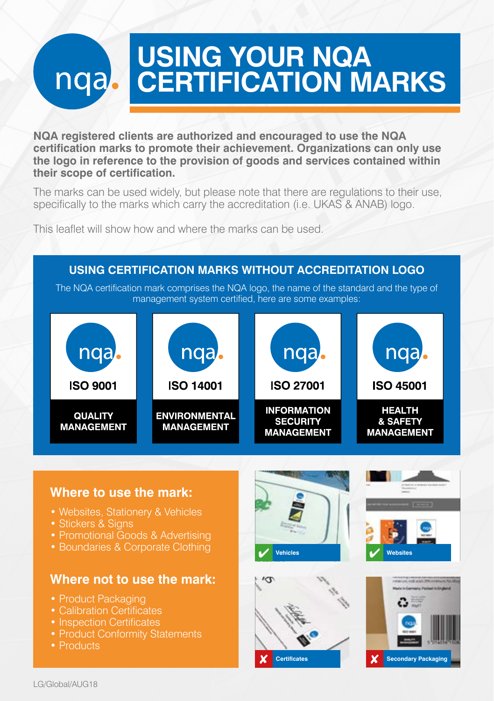# **USING YOUR NQA CERTIFICATION MARKS**

**NQA registered clients are authorized and encouraged to use the NQA certification marks to promote their achievement. Organizations can only use the logo in reference to the provision of goods and services contained within their scope of certification.**

The marks can be used widely, but please note that there are regulations to their use, specifically to the marks which carry the accreditation (i.e. UKAS & ANAB) logo.

This leaflet will show how and where the marks can be used.

#### **USING CERTIFICATION MARKS WITHOUT ACCREDITATION LOGO** The NQA certification mark comprises the NQA logo, the name of the standard and the type of management system certified, here are some examples: nga. nga nga nga **ISO 9001 ISO 14001 ISO 27001 ISO 45001 INFORMATION HEALTH QUALITY ENVIRONMENTAL** & SAFETY **SECURITY MANAGEMENT MANAGEMENT MANAGEMENT MANAGEMENT**

### **Where to use the mark:**

- Websites, Stationery & Vehicles
- Stickers & Sians
- Promotional Goods & Advertising
- Boundaries & Corporate Clothing

#### **Where not to use the mark:**

- Product Packaging
- Calibration Certificates
- Inspection Certificates
- Product Conformity Statements
- Products